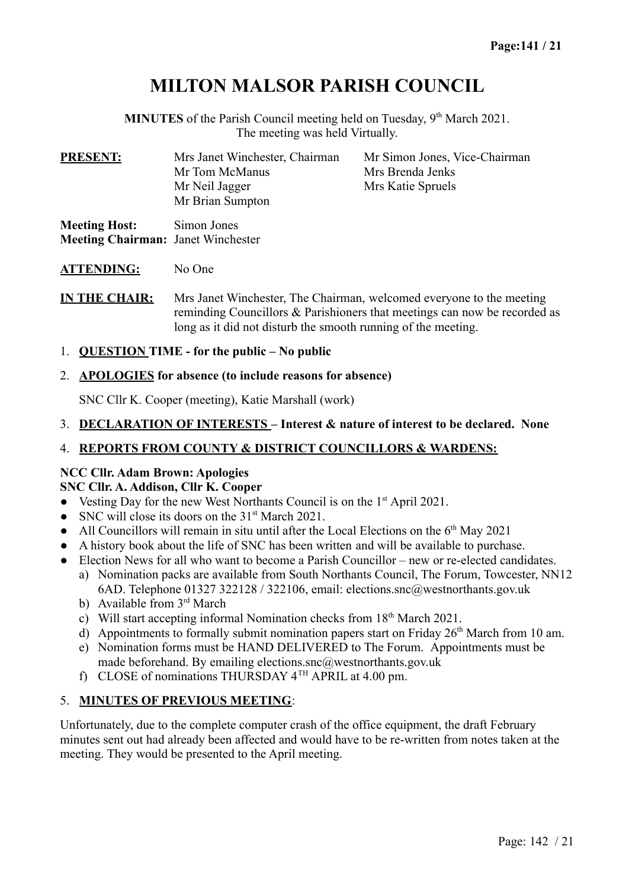# **MILTON MALSOR PARISH COUNCIL**

MINUTES of the Parish Council meeting held on Tuesday, 9<sup>th</sup> March 2021. The meeting was held Virtually.

| <b>PRESENT:</b>      | Mrs Janet Winchester, Chairman     | Mr Simon Jones, Vice-Chairman |  |
|----------------------|------------------------------------|-------------------------------|--|
|                      | Mr Tom McManus                     | Mrs Brenda Jenks              |  |
|                      | Mr Neil Jagger<br>Mr Brian Sumpton | Mrs Katie Spruels             |  |
| <b>Meeting Host:</b> | Simon Jones                        |                               |  |

**Meeting Chairman:** Janet Winchester

**ATTENDING:** No One

**IN THE CHAIR:** Mrs Janet Winchester, The Chairman, welcomed everyone to the meeting reminding Councillors & Parishioners that meetings can now be recorded as long as it did not disturb the smooth running of the meeting.

1. **QUESTION TIME - for the public – No public**

#### 2. **APOLOGIES for absence (to include reasons for absence)**

SNC Cllr K. Cooper (meeting), Katie Marshall (work)

3. **DECLARATION OF INTERESTS – Interest & nature of interest to be declared. None**

### 4. **REPORTS FROM COUNTY & DISTRICT COUNCILLORS & WARDENS:**

### **NCC Cllr. Adam Brown: Apologies**

#### **SNC Cllr. A. Addison, Cllr K. Cooper**

- Vesting Day for the new West Northants Council is on the 1<sup>st</sup> April 2021.
- SNC will close its doors on the  $31<sup>st</sup>$  March 2021.
- All Councillors will remain in situ until after the Local Elections on the  $6<sup>th</sup>$  May 2021
- A history book about the life of SNC has been written and will be available to purchase.
- Election News for all who want to become a Parish Councillor new or re-elected candidates.
	- a) Nomination packs are available from South Northants Council, The Forum, Towcester, NN12 6AD. Telephone 01327 322128 / 322106, email: elections.snc@westnorthants.gov.uk
	- b) Available from 3<sup>rd</sup> March
	- c) Will start accepting informal Nomination checks from  $18<sup>th</sup>$  March 2021.
	- d) Appointments to formally submit nomination papers start on Friday  $26<sup>th</sup>$  March from 10 am.
	- e) Nomination forms must be HAND DELIVERED to The Forum. Appointments must be made beforehand. By emailing elections.snc@westnorthants.gov.uk
	- f) CLOSE of nominations THURSDAY 4TH APRIL at 4.00 pm.

### 5. **MINUTES OF PREVIOUS MEETING**:

Unfortunately, due to the complete computer crash of the office equipment, the draft February minutes sent out had already been affected and would have to be re-written from notes taken at the meeting. They would be presented to the April meeting.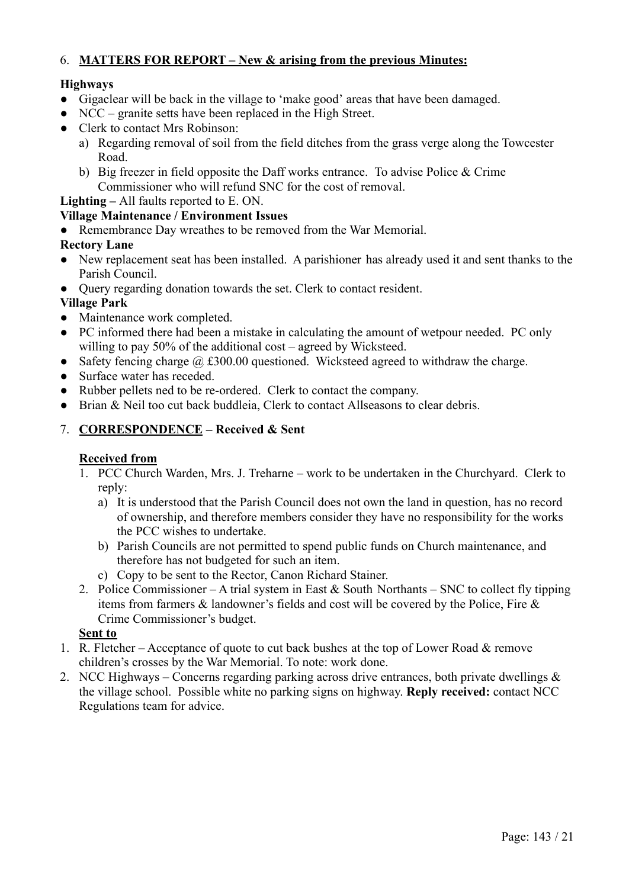### 6. **MATTERS FOR REPORT – New & arising from the previous Minutes:**

### **Highways**

- Gigaclear will be back in the village to 'make good' areas that have been damaged.
- NCC granite setts have been replaced in the High Street.
- Clerk to contact Mrs Robinson:
	- a) Regarding removal of soil from the field ditches from the grass verge along the Towcester Road.
	- b) Big freezer in field opposite the Daff works entrance. To advise Police & Crime Commissioner who will refund SNC for the cost of removal.

### **Lighting –** All faults reported to E. ON.

### **Village Maintenance / Environment Issues**

• Remembrance Day wreathes to be removed from the War Memorial.

### **Rectory Lane**

- New replacement seat has been installed. A parishioner has already used it and sent thanks to the Parish Council.
- Query regarding donation towards the set. Clerk to contact resident.

### **Village Park**

- Maintenance work completed.
- PC informed there had been a mistake in calculating the amount of wetpour needed. PC only willing to pay 50% of the additional cost – agreed by Wicksteed.
- Safety fencing charge  $\omega$  £300.00 questioned. Wicksteed agreed to withdraw the charge.
- Surface water has receded.
- Rubber pellets ned to be re-ordered. Clerk to contact the company.
- Brian & Neil too cut back buddleia, Clerk to contact Allseasons to clear debris.

### 7. **CORRESPONDENCE – Received & Sent**

### **Received from**

- 1. PCC Church Warden, Mrs. J. Treharne work to be undertaken in the Churchyard. Clerk to reply:
	- a) It is understood that the Parish Council does not own the land in question, has no record of ownership, and therefore members consider they have no responsibility for the works the PCC wishes to undertake.
	- b) Parish Councils are not permitted to spend public funds on Church maintenance, and therefore has not budgeted for such an item.
	- c) Copy to be sent to the Rector, Canon Richard Stainer.
- 2. Police Commissioner A trial system in East  $&$  South Northants SNC to collect fly tipping items from farmers & landowner's fields and cost will be covered by the Police, Fire & Crime Commissioner's budget.

### **Sent to**

- 1. R. Fletcher Acceptance of quote to cut back bushes at the top of Lower Road  $\&$  remove children's crosses by the War Memorial. To note: work done.
- 2. NCC Highways Concerns regarding parking across drive entrances, both private dwellings & the village school. Possible white no parking signs on highway. **Reply received:** contact NCC Regulations team for advice.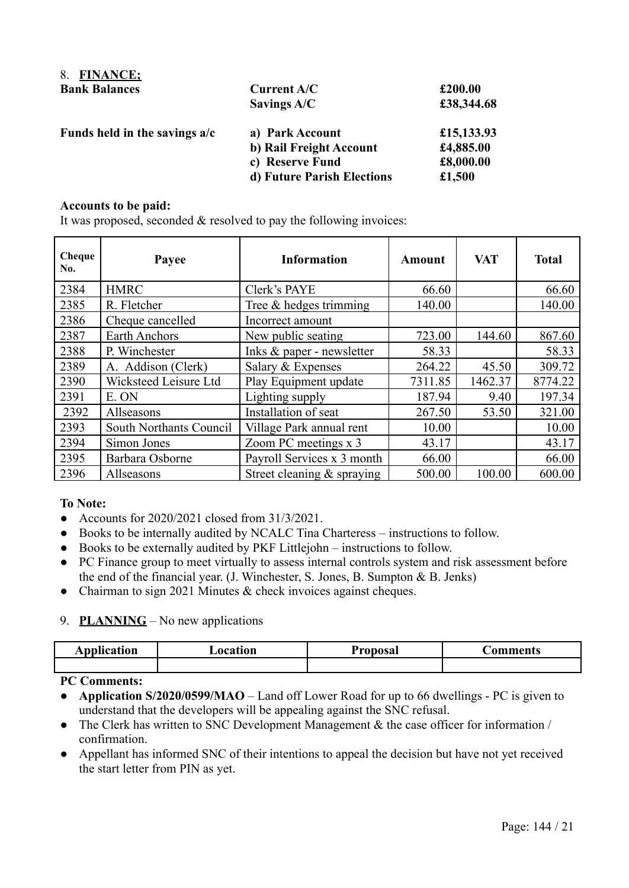| 8. FINANCE;                   |                            |            |
|-------------------------------|----------------------------|------------|
| <b>Bank Balances</b>          | <b>Current A/C</b>         | £200.00    |
|                               | Savings A/C                | £38,344.68 |
| Funds held in the savings a/c | a) Park Account            | £15,133.93 |
|                               | b) Rail Freight Account    | £4,885.00  |
|                               | c) Reserve Fund            | £8,000.00  |
|                               | d) Future Parish Elections | £1,500     |

#### **Accounts to be paid:**

It was proposed, seconded & resolved to pay the following invoices:

| Cheque<br>No. | Payee                   | <b>Information</b>          | Amount  | <b>VAT</b> | <b>Total</b> |
|---------------|-------------------------|-----------------------------|---------|------------|--------------|
| 2384          | <b>HMRC</b>             | Clerk's PAYE                | 66.60   |            | 66.60        |
| 2385          | R. Fletcher             | Tree $&$ hedges trimming    | 140.00  |            | 140.00       |
| 2386          | Cheque cancelled        | Incorrect amount            |         |            |              |
| 2387          | <b>Earth Anchors</b>    | New public seating          | 723.00  | 144.60     | 867.60       |
| 2388          | P. Winchester           | Inks $& paper$ - newsletter | 58.33   |            | 58.33        |
| 2389          | A. Addison (Clerk)      | Salary & Expenses           | 264.22  | 45.50      | 309.72       |
| 2390          | Wicksteed Leisure Ltd   | Play Equipment update       | 7311.85 | 1462.37    | 8774.22      |
| 2391          | E. ON                   | Lighting supply             | 187.94  | 9.40       | 197.34       |
| 2392          | Allseasons              | Installation of seat        | 267.50  | 53.50      | 321.00       |
| 2393          | South Northants Council | Village Park annual rent    | 10.00   |            | 10.00        |
| 2394          | Simon Jones             | Zoom PC meetings x 3        | 43.17   |            | 43.17        |
| 2395          | Barbara Osborne         | Payroll Services x 3 month  | 66.00   |            | 66.00        |
| 2396          | Allseasons              | Street cleaning & spraying  | 500.00  | 100.00     | 600.00       |

#### **To Note:**

- Accounts for 2020/2021 closed from 31/3/2021.
- Books to be internally audited by NCALC Tina Charteress instructions to follow.
- Books to be externally audited by PKF Littlejohn instructions to follow.
- PC Finance group to meet virtually to assess internal controls system and risk assessment before the end of the financial year. (J. Winchester, S. Jones, B. Sumpton & B. Jenks)
- Chairman to sign 2021 Minutes & check invoices against cheques.

#### 9. **PLANNING** – No new applications

| <b>Application</b> | <b>_ocation</b> | R<br><b>Proposal</b> | <b>Comments</b> |
|--------------------|-----------------|----------------------|-----------------|
|                    |                 |                      |                 |

#### **PC Comments:**

- **Application S/2020/0599/MAO** Land off Lower Road for up to 66 dwellings PC is given to understand that the developers will be appealing against the SNC refusal.
- The Clerk has written to SNC Development Management  $\&$  the case officer for information / confirmation.
- Appellant has informed SNC of their intentions to appeal the decision but have not yet received the start letter from PIN as yet.